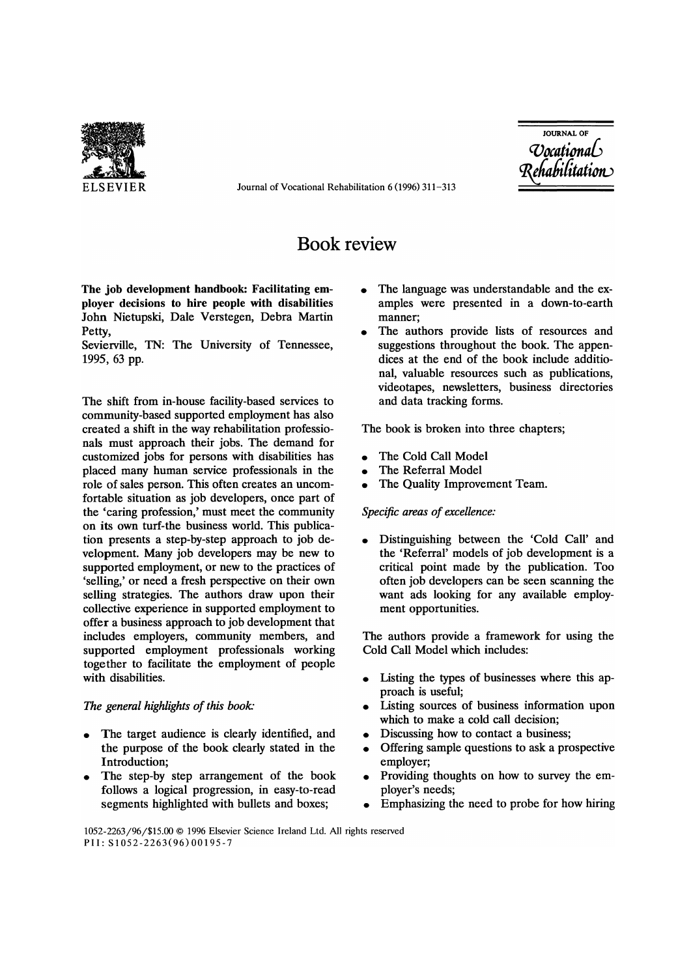

ELSEVIER Journal of Vocational Rehabilitation 6 (1996) 311-313

**JOURNAL OF** *evocati0na6*  -ehabilitation

# Book review

The job development handbook: Facilitating employer decisions to hire people with disabilities John Nietupski, Dale Verstegen, Debra Martin Petty,

Sevierville, TN: The University of Tennessee, 1995, 63 pp.

The shift from in-house facility-based services to community-based supported employment has also created a shift in the way rehabilitation professionals must approach their jobs. The demand for customized jobs for persons with disabilities has placed many human service professionals in the role of sales person. This often creates an uncomfortable situation as job developers, once part of the 'caring profession,' must meet the community on its own turf-the business world. This publication presents a step-by-step approach to job development. Many job developers may be new to supported employment, or new to the practices of 'selling,' or need a fresh perspective on their own selling strategies. The authors draw upon their collective experience in supported employment to offer a business approach to job development that includes employers, community members, and supported employment professionals working together to facilitate the employment of people with disabilities.

### *The general highlights of this book:*

- The target audience is clearly identified, and the purpose of the book clearly stated in the Introduction;
- The step-by step arrangement of the book follows a logical progression, in easy-to-read segments highlighted with bullets and boxes;
- The language was understandable and the examples were presented in a down-to-earth manner;
- The authors provide lists of resources and suggestions throughout the book. The appendices at the end of the book include additional, valuable resources such as publications, videotapes, newsletters, business directories and data tracking forms.

The book is broken into three chapters;

- The Cold Call Model
- The Referral Model
- The Quality Improvement Team.

#### *Specific areas of excellence:*

• Distinguishing between the 'Cold Call' and the 'Referral' models of job development is a critical point made by the publication. Too often job developers can be seen scanning the want ads looking for any available employment opportunities.

The authors provide a framework for using the Cold Call Model which includes:

- Listing the types of businesses where this approach is useful;
- Listing sources of business information upon which to make a cold call decision;
- Discussing how to contact a business;
- Offering sample questions to ask a prospective employer;
- Providing thoughts on how to survey the employer's needs;
- Emphasizing the need to probe for how hiring

#### 1052-2263/96/\$15.00 © 1996 Elsevier Science Ireland Ltd. All rights reserved PII: S1052-2263(96)00195-7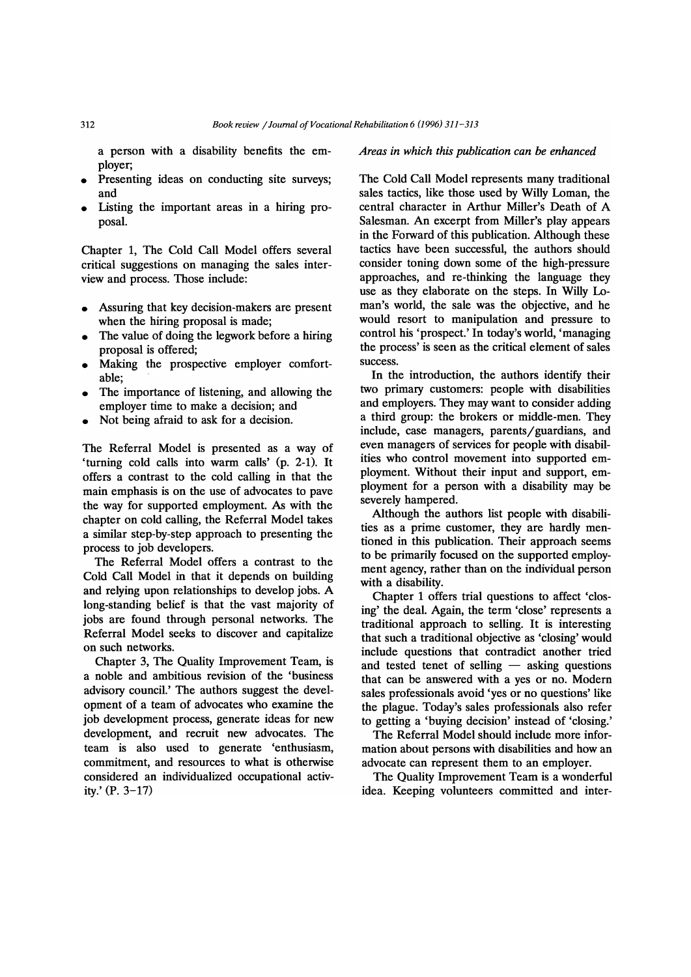a person with a disability benefits the employer;

- Presenting ideas on conducting site surveys; and
- Listing the important areas in a hiring proposal.

Chapter 1, The Cold Call Model offers several critical suggestions on managing the sales interview and process. Those include:

- Assuring that key decision-makers are present when the hiring proposal is made;
- The value of doing the legwork before a hiring proposal is offered;
- Making the prospective employer comfortable;
- The importance of listening, and allowing the employer time to make a decision; and
- Not being afraid to ask for a decision.

The Referral Model is presented as a way of 'turning cold calls into warm calls' (p. 2-1). It offers a contrast to the cold calling in that the main emphasis is on the use of advocates to pave the way for supported employment. As with the chapter on cold calling, the Referral Model takes a similar step-by-step approach to presenting the process to job developers.

The Referral Model offers a contrast to the Cold Call Model in that it depends on building and relying upon relationships to develop jobs. A long-standing belief is that the vast majority of jobs are found through personal networks. The Referral Model seeks to discover and capitalize on such networks.

Chapter 3, The Quality Improvement Team, is a noble and ambitious revision of the 'business advisory council.' The authors suggest the development of a team of advocates who examine the job development process, generate ideas for new development, and recruit new advocates. The team is also used to generate 'enthusiasm, commitment, and resources to what is otherwise considered an individualized occupational activity.' (P. 3-17)

*Areas in which this publication can be enhanced* 

The Cold Call Model represents many traditional sales tactics, like those used by Willy Loman, the central character in Arthur Miller's Death of A Salesman. An excerpt from Miller's play appears in the Forward of this publication. Although these tactics have been successful, the authors should consider toning down some of the high-pressure approaches, and re-thinking the language they use as they elaborate on the steps. In Willy Loman's world, the sale was the objective, and he would resort to manipulation and pressure to control his 'prospect.' In today's world, 'managing the process' is seen as the critical element of sales success.

In the introduction, the authors identify their two primary customers: people with disabilities and employers. They may want to consider adding a third group: the brokers or middle-men. They include, case managers, parents/guardians, and even managers of services for people with disabilities who control movement into supported employment. Without their input and support, employment for a person with a disability may be severely hampered.

Although the authors list people with disabilities as a prime customer, they are hardly mentioned in this publication. Their approach seems to be primarily focused on the supported employment agency, rather than on the individual person with a disability.

Chapter 1 offers trial questions to affect 'closing' the deal. Again, the term 'close' represents a traditional approach to selling. It is interesting that such a traditional objective as 'closing' would include questions that contradict another tried and tested tenet of selling  $-$  asking questions that can be answered with a yes or no. Modern sales professionals avoid 'yes or no questions' like the plague. Today's sales professionals also refer to getting a 'buying decision' instead of 'closing.'

The Referral Model should include more information about persons with disabilities and how an advocate can represent them to an employer.

The Quality Improvement Team is a wonderful idea. Keeping volunteers committed and inter-